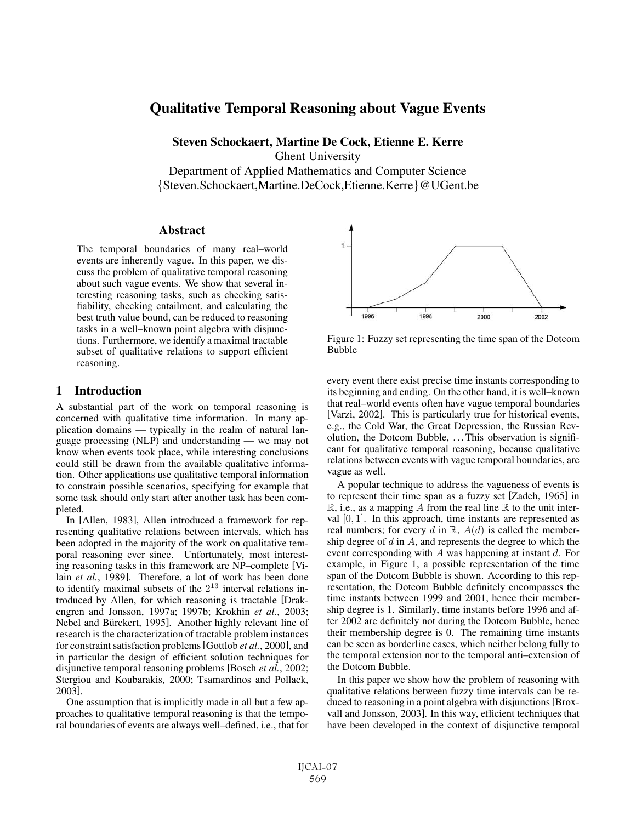# Qualitative Temporal Reasoning about Vague Events

Steven Schockaert, Martine De Cock, Etienne E. Kerre

Ghent University

Department of Applied Mathematics and Computer Science {Steven.Schockaert,Martine.DeCock,Etienne.Kerre}@UGent.be

## **Abstract**

The temporal boundaries of many real–world events are inherently vague. In this paper, we discuss the problem of qualitative temporal reasoning about such vague events. We show that several interesting reasoning tasks, such as checking satisfiability, checking entailment, and calculating the best truth value bound, can be reduced to reasoning tasks in a well–known point algebra with disjunctions. Furthermore, we identify a maximal tractable subset of qualitative relations to support efficient reasoning.

# 1 Introduction

A substantial part of the work on temporal reasoning is concerned with qualitative time information. In many application domains — typically in the realm of natural language processing (NLP) and understanding — we may not know when events took place, while interesting conclusions could still be drawn from the available qualitative information. Other applications use qualitative temporal information to constrain possible scenarios, specifying for example that some task should only start after another task has been completed.

In [Allen, 1983], Allen introduced a framework for representing qualitative relations between intervals, which has been adopted in the majority of the work on qualitative temporal reasoning ever since. Unfortunately, most interesting reasoning tasks in this framework are NP–complete [Vilain *et al.*, 1989]. Therefore, a lot of work has been done to identify maximal subsets of the  $2^{13}$  interval relations introduced by Allen, for which reasoning is tractable [Drakengren and Jonsson, 1997a; 1997b; Krokhin *et al.*, 2003; Nebel and Bürckert, 1995]. Another highly relevant line of research is the characterization of tractable problem instances for constraint satisfaction problems[Gottlob *et al.*, 2000], and in particular the design of efficient solution techniques for disjunctive temporal reasoning problems [Bosch *et al.*, 2002; Stergiou and Koubarakis, 2000; Tsamardinos and Pollack, 2003].

One assumption that is implicitly made in all but a few approaches to qualitative temporal reasoning is that the temporal boundaries of events are always well–defined, i.e., that for



Figure 1: Fuzzy set representing the time span of the Dotcom Bubble

every event there exist precise time instants corresponding to its beginning and ending. On the other hand, it is well–known that real–world events often have vague temporal boundaries [Varzi, 2002]. This is particularly true for historical events, e.g., the Cold War, the Great Depression, the Russian Revolution, the Dotcom Bubble, ... This observation is significant for qualitative temporal reasoning, because qualitative relations between events with vague temporal boundaries, are vague as well.

A popular technique to address the vagueness of events is to represent their time span as a fuzzy set [Zadeh, 1965] in  $\mathbb{R}$ , i.e., as a mapping A from the real line  $\mathbb{R}$  to the unit interval  $[0, 1]$ . In this approach, time instants are represented as real numbers; for every d in  $\mathbb{R}$ ,  $A(d)$  is called the membership degree of  $d$  in  $A$ , and represents the degree to which the event corresponding with A was happening at instant d. For example, in Figure 1, a possible representation of the time span of the Dotcom Bubble is shown. According to this representation, the Dotcom Bubble definitely encompasses the time instants between 1999 and 2001, hence their membership degree is 1. Similarly, time instants before 1996 and after 2002 are definitely not during the Dotcom Bubble, hence their membership degree is 0. The remaining time instants can be seen as borderline cases, which neither belong fully to the temporal extension nor to the temporal anti–extension of the Dotcom Bubble.

In this paper we show how the problem of reasoning with qualitative relations between fuzzy time intervals can be reduced to reasoning in a point algebra with disjunctions[Broxvall and Jonsson, 2003]. In this way, efficient techniques that have been developed in the context of disjunctive temporal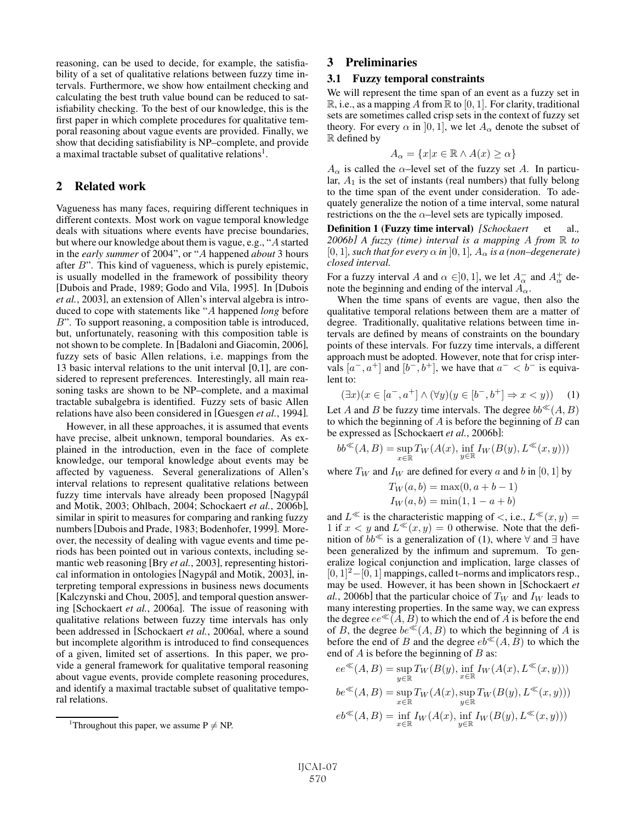reasoning, can be used to decide, for example, the satisfiability of a set of qualitative relations between fuzzy time intervals. Furthermore, we show how entailment checking and calculating the best truth value bound can be reduced to satisfiability checking. To the best of our knowledge, this is the first paper in which complete procedures for qualitative temporal reasoning about vague events are provided. Finally, we show that deciding satisfiability is NP–complete, and provide a maximal tractable subset of qualitative relations<sup>1</sup>.

## 2 Related work

Vagueness has many faces, requiring different techniques in different contexts. Most work on vague temporal knowledge deals with situations where events have precise boundaries, but where our knowledge about them is vague, e.g., "A started in the *early summer* of 2004", or "A happened *about* 3 hours after B". This kind of vagueness, which is purely epistemic, is usually modelled in the framework of possibility theory [Dubois and Prade, 1989; Godo and Vila, 1995]. In [Dubois *et al.*, 2003], an extension of Allen's interval algebra is introduced to cope with statements like "A happened *long* before B". To support reasoning, a composition table is introduced, but, unfortunately, reasoning with this composition table is not shown to be complete. In [Badaloni and Giacomin, 2006], fuzzy sets of basic Allen relations, i.e. mappings from the 13 basic interval relations to the unit interval [0,1], are considered to represent preferences. Interestingly, all main reasoning tasks are shown to be NP–complete, and a maximal tractable subalgebra is identified. Fuzzy sets of basic Allen relations have also been considered in [Guesgen *et al.*, 1994].

However, in all these approaches, it is assumed that events have precise, albeit unknown, temporal boundaries. As explained in the introduction, even in the face of complete knowledge, our temporal knowledge about events may be affected by vagueness. Several generalizations of Allen's interval relations to represent qualitative relations between fuzzy time intervals have already been proposed [Nagypál] and Motik, 2003; Ohlbach, 2004; Schockaert *et al.*, 2006b], similar in spirit to measures for comparing and ranking fuzzy numbers[Dubois and Prade, 1983; Bodenhofer, 1999]. Moreover, the necessity of dealing with vague events and time periods has been pointed out in various contexts, including semantic web reasoning [Bry *et al.*, 2003], representing historical information in ontologies [Nagypál and Motik, 2003], interpreting temporal expressions in business news documents [Kalczynski and Chou, 2005], and temporal question answering [Schockaert *et al.*, 2006a]. The issue of reasoning with qualitative relations between fuzzy time intervals has only been addressed in [Schockaert *et al.*, 2006a], where a sound but incomplete algorithm is introduced to find consequences of a given, limited set of assertions. In this paper, we provide a general framework for qualitative temporal reasoning about vague events, provide complete reasoning procedures, and identify a maximal tractable subset of qualitative temporal relations.

# 3 Preliminaries

#### 3.1 Fuzzy temporal constraints

We will represent the time span of an event as a fuzzy set in  $\mathbb{R}$ , i.e., as a mapping A from  $\mathbb{R}$  to [0, 1]. For clarity, traditional sets are sometimes called crisp sets in the context of fuzzy set theory. For every  $\alpha$  in [0, 1], we let  $A_{\alpha}$  denote the subset of R defined by

$$
A_{\alpha} = \{x | x \in \mathbb{R} \land A(x) \ge \alpha\}
$$

 $A_{\alpha}$  is called the  $\alpha$ -level set of the fuzzy set A. In particular,  $A_1$  is the set of instants (real numbers) that fully belong to the time span of the event under consideration. To adequately generalize the notion of a time interval, some natural restrictions on the the  $\alpha$ -level sets are typically imposed.

Definition 1 (Fuzzy time interval) *[Schockaert* et al.*, 2006b] A fuzzy (time) interval is a mapping* A *from* R *to*  $[0, 1]$ *, such that for every*  $\alpha$  *in*  $[0, 1]$ *,*  $A_{\alpha}$  *is a (non–degenerate) closed interval.*

For a fuzzy interval A and  $\alpha \in ]0,1]$ , we let  $A_{\alpha}^-$  and  $A_{\alpha}^+$  denote the beginning and ending of the interval  $A_{\alpha}$ .

When the time spans of events are vague, then also the qualitative temporal relations between them are a matter of degree. Traditionally, qualitative relations between time intervals are defined by means of constraints on the boundary points of these intervals. For fuzzy time intervals, a different approach must be adopted. However, note that for crisp intervals  $[a^-, a^+]$  and  $[b^-, b^+]$ , we have that  $a^- < b^-$  is equivalent to:

$$
(\exists x)(x \in [a^-, a^+] \land (\forall y)(y \in [b^-, b^+] \Rightarrow x < y)) \tag{1}
$$

Let A and B be fuzzy time intervals. The degree  $bb^*(A, B)$ to which the beginning of  $A$  is before the beginning of  $B$  can be expressed as [Schockaert *et al.*, 2006b]:

$$
bb^{\ll}(A,B) = \sup_{x \in \mathbb{R}} T_W(A(x), \inf_{y \in \mathbb{R}} I_W(B(y), L^{\ll}(x,y)))
$$

where  $T_W$  and  $I_W$  are defined for every a and b in [0, 1] by

$$
T_W(a, b) = \max(0, a+b-1)
$$
  

$$
I_W(a, b) = \min(1, 1 - a + b)
$$

and  $L^{\ll}$  is the characteristic mapping of  $\lt$ , i.e.,  $L^{\ll}(x, y) =$ 1 if  $x < y$  and  $L^{\ll}(x, y) = 0$  otherwise. Note that the definition of  $bb^{\ll}$  is a generalization of (1), where  $\forall$  and  $\exists$  have been generalized by the infimum and supremum. To generalize logical conjunction and implication, large classes of  $[0, 1]^2$  –  $[0, 1]$  mappings, called t–norms and implicators resp., may be used. However, it has been shown in [Schockaert *et al.*, 2006b] that the particular choice of  $T_W$  and  $I_W$  leads to many interesting properties. In the same way, we can express the degree  $ee \leq (\overline{A}, B)$  to which the end of  $\overline{A}$  is before the end of B, the degree  $be \leq (A, B)$  to which the beginning of A is before the end of B and the degree  $eb \leq (A, B)$  to which the end of  $A$  is before the beginning of  $B$  as:

$$
ee^{\ll}(A, B) = \sup_{y \in \mathbb{R}} T_W(B(y), \inf_{x \in \mathbb{R}} I_W(A(x), L^{\ll}(x, y)))
$$
  
\n
$$
be^{\ll}(A, B) = \sup_{x \in \mathbb{R}} T_W(A(x), \sup_{y \in \mathbb{R}} T_W(B(y), L^{\ll}(x, y)))
$$
  
\n
$$
eb^{\ll}(A, B) = \inf_{x \in \mathbb{R}} I_W(A(x), \inf_{y \in \mathbb{R}} I_W(B(y), L^{\ll}(x, y)))
$$

<sup>&</sup>lt;sup>1</sup>Throughout this paper, we assume  $P \neq NP$ .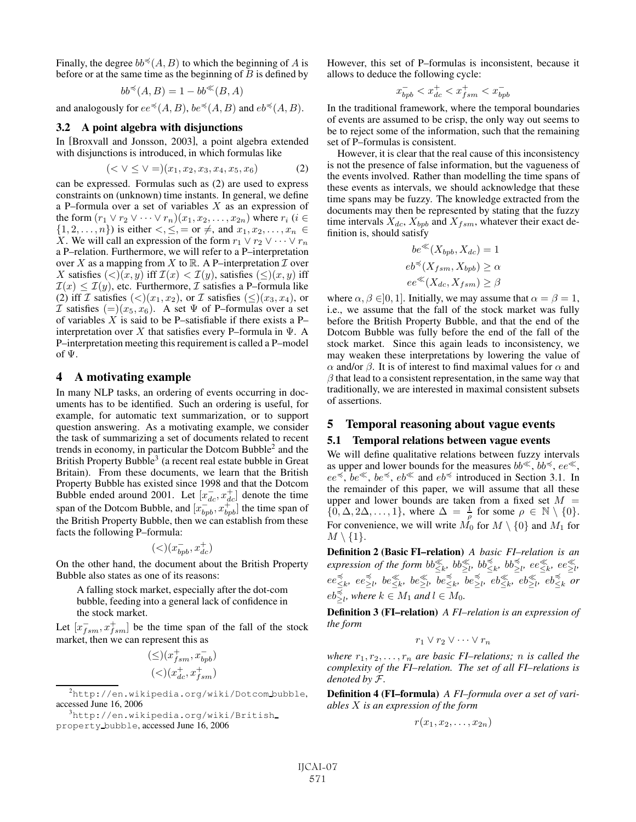Finally, the degree  $bb^*(A, B)$  to which the beginning of A is before or at the same time as the beginning of  $B$  is defined by

$$
bb^*(A, B) = 1 - bb^*(B, A)
$$

and analogously for  $ee^{\preccurlyeq}(A, B)$ ,  $be^{\preccurlyeq}(A, B)$  and  $eb^{\preccurlyeq}(A, B)$ .

### 3.2 A point algebra with disjunctions

In [Broxvall and Jonsson, 2003], a point algebra extended with disjunctions is introduced, in which formulas like

$$
(< \vee \leq \vee =)(x_1, x_2, x_3, x_4, x_5, x_6) \tag{2}
$$

can be expressed. Formulas such as (2) are used to express constraints on (unknown) time instants. In general, we define a P–formula over a set of variables  $X$  as an expression of the form  $(r_1 \vee r_2 \vee \cdots \vee r_n)(x_1, x_2, \ldots, x_{2n})$  where  $r_i$   $(i \in$  $\{1, 2, \ldots, n\}$  is either  $\lt, \leq$ ,  $=$  or  $\neq$ , and  $x_1, x_2, \ldots, x_n \in$ X. We will call an expression of the form  $r_1 \vee r_2 \vee \cdots \vee r_n$ a P–relation. Furthermore, we will refer to a P–interpretation over X as a mapping from X to R. A P–interpretation  $\mathcal I$  over X satisfies  $\langle \langle \rangle(x, y)$  iff  $\mathcal{I}(x) < \mathcal{I}(y)$ , satisfies  $\langle \langle \rangle(x, y)$  iff  $\mathcal{I}(x) \leq \mathcal{I}(y)$ , etc. Furthermore,  $\mathcal I$  satisfies a P–formula like (2) iff I satisfies  $\left\langle \langle x_1, x_2 \rangle \right\rangle$ , or I satisfies  $\left\langle \leq \rangle (x_3, x_4)$ , or *I* satisfies  $(=)(x_5, x_6)$ . A set  $\Psi$  of P–formulas over a set of variables  $X$  is said to be P–satisfiable if there exists a P– interpretation over X that satisfies every P–formula in  $\Psi$ . A P–interpretation meeting this requirement is called a P–model of  $\Psi$ .

### 4 A motivating example

In many NLP tasks, an ordering of events occurring in documents has to be identified. Such an ordering is useful, for example, for automatic text summarization, or to support question answering. As a motivating example, we consider the task of summarizing a set of documents related to recent trends in economy, in particular the Dotcom Bubble2 and the British Property Bubble<sup>3</sup> (a recent real estate bubble in Great Britain). From these documents, we learn that the British Property Bubble has existed since 1998 and that the Dotcom Bubble ended around 2001. Let  $[x_{dc}^-, x_{dc}^+]$  denote the time span of the Dotcom Bubble, and  $[x_{bbb}^-, x_{bpb}^+]$  the time span of the British Property Bubble, then we can establish from these facts the following P–formula:

$$
(<)(x_{bbb}^{-}, x_{dc}^{+})
$$

On the other hand, the document about the British Property Bubble also states as one of its reasons:

A falling stock market, especially after the dot-com bubble, feeding into a general lack of confidence in the stock market.

Let  $[x_{f,sm}^{-}, x_{f,sm}^{+}]$  be the time span of the fall of the stock market, then we can represent this as

$$
(\le)(x^+_{fsm},x^-_{bpb})\\(<)(x^+_{dc},x^+_{fsm})
$$

2 http://en.wikipedia.org/wiki/Dotcom bubble, accessed June 16, 2006

3 http://en.wikipedia.org/wiki/British property bubble, accessed June 16, 2006

However, this set of P–formulas is inconsistent, because it allows to deduce the following cycle:

$$
x_{bpb}^- < x_{dc}^+ < x_{fsm}^+ < x_{bpb}^-
$$

In the traditional framework, where the temporal boundaries of events are assumed to be crisp, the only way out seems to be to reject some of the information, such that the remaining set of P–formulas is consistent.

However, it is clear that the real cause of this inconsistency is not the presence of false information, but the vagueness of the events involved. Rather than modelling the time spans of these events as intervals, we should acknowledge that these time spans may be fuzzy. The knowledge extracted from the documents may then be represented by stating that the fuzzy time intervals  $X_{dc}$ ,  $X_{bpb}$  and  $X_{fsm}$ , whatever their exact definition is, should satisfy

$$
be^{\ll}(X_{bpb}, X_{dc}) = 1
$$
  

$$
eb^{\ll}(X_{fsm}, X_{bpb}) \ge \alpha
$$
  

$$
ee^{\ll}(X_{dc}, X_{fsm}) \ge \beta
$$

where  $\alpha, \beta \in ]0, 1]$ . Initially, we may assume that  $\alpha = \beta = 1$ , i.e., we assume that the fall of the stock market was fully before the British Property Bubble, and that the end of the Dotcom Bubble was fully before the end of the fall of the stock market. Since this again leads to inconsistency, we may weaken these interpretations by lowering the value of α and/or β. It is of interest to find maximal values for α and  $\beta$  that lead to a consistent representation, in the same way that traditionally, we are interested in maximal consistent subsets of assertions.

## 5 Temporal reasoning about vague events

#### 5.1 Temporal relations between vague events

We will define qualitative relations between fuzzy intervals as upper and lower bounds for the measures  $bb^{\ll}$ ,  $bb^{\ll}$ ,  $ee^{\ll}$ ,  $ee^{\preccurlyeq}$ ,  $be^{\preccurlyeq}$ ,  $ee^{\preccurlyeq}$ ,  $eb^{\preccurlyeq}$  and  $eb^{\preccurlyeq}$  introduced in Section 3.1. In the remainder of this paper, we will assume that all these upper and lower bounds are taken from a fixed set  $M =$  $\{0, \Delta, 2\Delta, \ldots, 1\}$ , where  $\Delta = \frac{1}{\rho}$  for some  $\rho \in \mathbb{N} \setminus \{0\}.$ For convenience, we will write  $M_0$  for  $M \setminus \{0\}$  and  $M_1$  for  $M \setminus \{1\}.$ 

Definition 2 (Basic FI–relation) *A basic FI–relation is an*  $\textit{expression of the form } \textit{bb}_{\leq k}^{\ll}, \textit{bb}_{\geq l}^{\ll}, \textit{bb}_{\geq k}^{\preccurlyeq}, \textit{bb}_{\geq k}^{\preccurlyeq}, \textit{ee}_{\leq k}^{\ll}, \textit{ee}_{\geq l}^{\ll},$  $e e \leq k$ *,*  $e \leq k$ *,*  $b e \leq k$ *,*  $b e \leq k$ *,*  $b e \leq k$ *,*  $e b \leq k$ *,*  $e b \leq k$ *,*  $e b \leq k$  *or*  $eb_{\geq l}^{\leq}$ , where  $k \in M_1$  and  $l \in M_0$ .

Definition 3 (FI–relation) *A FI–relation is an expression of the form*

$$
r_1 \vee r_2 \vee \cdots \vee r_n
$$

*where*  $r_1, r_2, \ldots, r_n$  *are basic FI–relations; n is called the complexity of the FI–relation. The set of all FI–relations is denoted by* F*.*

Definition 4 (FI–formula) *A FI–formula over a set of variables* X *is an expression of the form*

$$
r(x_1,x_2,\ldots,x_{2n})
$$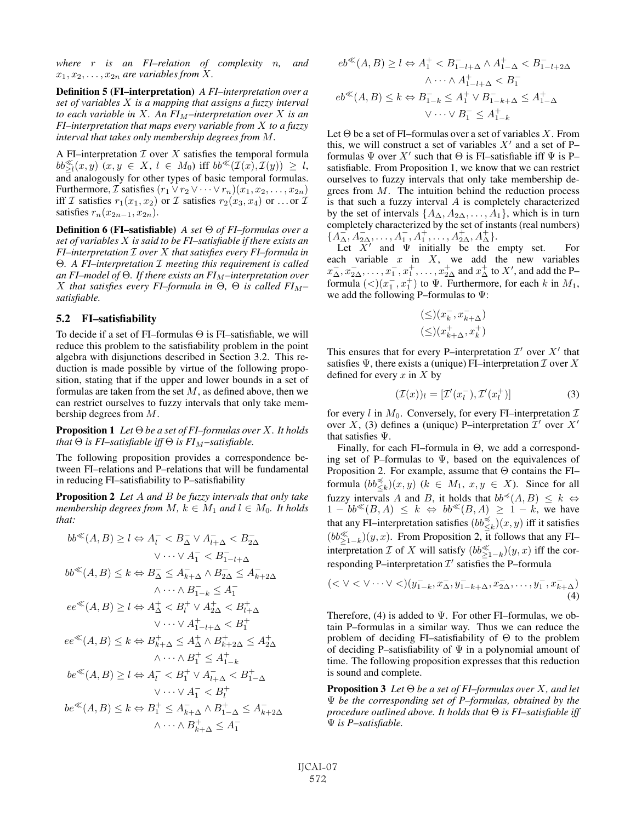*where* r *is an FI–relation of complexity* n*, and*  $x_1, x_2, \ldots, x_{2n}$  *are variables from*  $\hat{X}$ *.* 

Definition 5 (FI–interpretation) *A FI–interpretation over a set of variables* X *is a mapping that assigns a fuzzy interval to each variable in* X. An  $FI<sub>M</sub>$ *-interpretation over* X *is an FI–interpretation that maps every variable from* X *to a fuzzy interval that takes only membership degrees from* M*.*

A FI–interpretation  $I$  over  $X$  satisfies the temporal formula  $bb \leq (x, y)$   $(x, y \in X, l \in M_0)$  iff  $bb \leq (\mathcal{I}(x), \mathcal{I}(y)) \geq l$ , and analogously for other types of basic temporal formulas. Furthermore, *I* satisfies  $(r_1 \vee r_2 \vee \cdots \vee r_n)(x_1, x_2, \ldots, x_{2n})$ iff I satisfies  $r_1(x_1, x_2)$  or I satisfies  $r_2(x_3, x_4)$  or ... or I satisfies  $r_n(x_{2n-1}, x_{2n})$ .

Definition 6 (FI–satisfiable) *A set* Θ *of FI–formulas over a set of variables* X *is said to be FI–satisfiable if there exists an FI–interpretation* I *over* X *that satisfies every FI–formula in* Θ*. A FI–interpretation* I *meeting this requirement is called an FI–model of* Θ*. If there exists an FI*M*–interpretation over X* that satisfies every FI–formula in  $Θ$ ,  $Θ$  is called  $FI<sub>M</sub>$ – *satisfiable.*

### 5.2 FI–satisfiability

To decide if a set of FI–formulas  $\Theta$  is FI–satisfiable, we will reduce this problem to the satisfiability problem in the point algebra with disjunctions described in Section 3.2. This reduction is made possible by virtue of the following proposition, stating that if the upper and lower bounds in a set of formulas are taken from the set  $M$ , as defined above, then we can restrict ourselves to fuzzy intervals that only take membership degrees from M.

Proposition 1 *Let* Θ *be a set of FI–formulas over* X*. It holds that*  $\Theta$  *is FI–satisfiable iff*  $\Theta$  *is FI<sub>M</sub>–satisfiable.* 

The following proposition provides a correspondence between FI–relations and P–relations that will be fundamental in reducing FI–satisfiability to P–satisfiability

Proposition 2 *Let* A *and* B *be fuzzy intervals that only take membership degrees from*  $M, k \in M_1$  *and*  $l \in M_0$ *. It holds that:*

$$
bb^{\ll}(A,B) \ge l \Leftrightarrow A_{l}^{-} < B_{\Delta}^{-} \vee A_{l+\Delta}^{-} < B_{2\Delta}^{-}
$$
  

$$
\vee \cdots \vee A_{1}^{-} < B_{1-l+\Delta}^{-}
$$
  

$$
bb^{\ll}(A,B) \le k \Leftrightarrow B_{\Delta}^{-} \le A_{k+\Delta}^{-} \wedge B_{2\Delta}^{-} \le A_{k+2\Delta}^{-}
$$
  

$$
\wedge \cdots \wedge B_{1-k}^{-} \le A_{1}^{-}
$$
  

$$
ee^{\ll}(A,B) \ge l \Leftrightarrow A_{\Delta}^{+} < B_{l}^{+} \vee A_{2\Delta}^{+} < B_{l+\Delta}^{+}
$$
  

$$
\vee \cdots \vee A_{1-l+\Delta}^{+} < B_{1}^{+}
$$
  

$$
ee^{\ll}(A,B) \le k \Leftrightarrow B_{k+\Delta}^{+} \le A_{\Delta}^{+} \wedge B_{k+2\Delta}^{+} \le A_{2\Delta}^{+}
$$
  

$$
\wedge \cdots \wedge B_{1}^{+} \le A_{1-k}^{+}
$$
  

$$
be^{\ll}(A,B) \ge l \Leftrightarrow A_{l}^{-} < B_{1}^{+} \vee A_{l+\Delta}^{-} < B_{1-\Delta}^{+}
$$
  

$$
\vee \cdots \vee A_{1}^{-} < B_{l}^{+}
$$
  

$$
be^{\ll}(A,B) \le k \Leftrightarrow B_{1}^{+} \le A_{k+\Delta}^{-} \wedge B_{1-\Delta}^{+} \le A_{k+2\Delta}^{-}
$$
  

$$
\wedge \cdots \wedge B_{k+\Delta}^{+} \le A_{1}^{-}
$$

$$
eb^{\ll}(A, B) \ge l \Leftrightarrow A_1^+ < B_{1-l+\Delta}^- \wedge A_{1-\Delta}^+ < B_{1-l+2\Delta}^-
$$
\n
$$
\wedge \cdots \wedge A_{1-l+\Delta}^+ < B_1^-
$$
\n
$$
eb^{\ll}(A, B) \le k \Leftrightarrow B_{1-k}^- \le A_1^+ \vee B_{1-k+\Delta}^- \le A_{1-\Delta}^+
$$
\n
$$
\vee \cdots \vee B_1^- \le A_{1-k}^+
$$

Let  $\Theta$  be a set of FI–formulas over a set of variables X. From this, we will construct a set of variables  $X'$  and a set of P– formulas  $\Psi$  over X' such that  $\Theta$  is FI–satisfiable iff  $\Psi$  is P– satisfiable. From Proposition 1, we know that we can restrict ourselves to fuzzy intervals that only take membership degrees from M. The intuition behind the reduction process is that such a fuzzy interval A is completely characterized by the set of intervals  $\{A_{\Delta}, A_{2\Delta}, \ldots, A_1\}$ , which is in turn completely characterized by the set of instants (real numbers)  $\{A_{\Delta}^{-}, A_{2\Delta}^{-}, \ldots, A_{1}^{-}, A_{1}^{+}, \ldots, A_{2\Delta}^{+}, A_{\Delta}^{+}\}.$ 

Let  $\overline{X}$  and  $\Psi$  initially be the empty set. For each variable  $x$  in  $X$ , we add the new variables  $x_\Delta^-, x_{2\Delta}^-, \ldots, x_1^-, x_1^+, \ldots, x_{2\Delta}^+$  and  $x_\Delta^+$  to  $X',$  and add the P– formula  $(<)$  $(x_1^-, x_1^+)$  to  $\Psi$ . Furthermore, for each k in  $M_1$ , we add the following P–formulas to  $\Psi$ :

$$
\begin{aligned} (\leq) (x_k^-, x_{k+\Delta}^-) \\ (\leq) (x_{k+\Delta}^+, x_k^+) \end{aligned}
$$

This ensures that for every P–interpretation  $\mathcal{I}'$  over  $X'$  that satisfies  $\Psi$ , there exists a (unique) FI–interpretation  $\mathcal I$  over X defined for every  $x$  in  $X$  by

$$
(\mathcal{I}(x))_l = [\mathcal{I}'(x_l^-), \mathcal{I}'(x_l^+)] \tag{3}
$$

for every l in  $M_0$ . Conversely, for every FI–interpretation  $\mathcal I$ over X, (3) defines a (unique) P–interpretation  $\mathcal{I}'$  over  $X'$ that satisfies Ψ.

Finally, for each FI–formula in  $\Theta$ , we add a corresponding set of P–formulas to  $\Psi$ , based on the equivalences of Proposition 2. For example, assume that  $\Theta$  contains the FI– formula  $(bb_{\leq k}^{\preccurlyeq})(x, y)$   $(k \in M_1, x, y \in X)$ . Since for all fuzzy intervals A and B, it holds that  $bb \preceq (A, B) \leq k \Leftrightarrow$  $1 - bb^{\ll}(B, A) \leq k \Leftrightarrow bb^{\ll}(B, A) \geq 1 - k$ , we have that any FI–interpretation satisfies  $(bb^{\preccurlyeq}_{\leq k})(x,y)$  iff it satisfies  $(bb_{\geq 1-k}^{\ll}) (y, x)$ . From Proposition 2, it follows that any FI– interpretation  $\mathcal I$  of  $X$  will satisfy  $(bb_{\geq 1-k}^{\ll}(y, x))$  iff the corresponding P–interpretation  $\mathcal{I}'$  satisfies the P–formula

$$
(<\vee<\vee\cdots\vee<)(y_{1-k}^-,x_{\Delta}^-,y_{1-k+\Delta}^-,x_{2\Delta}^-,\ldots,y_1^-,x_{k+\Delta}^-)
$$
\n(4)

Therefore, (4) is added to  $\Psi$ . For other FI–formulas, we obtain P–formulas in a similar way. Thus we can reduce the problem of deciding FI–satisfiability of Θ to the problem of deciding P–satisfiability of  $\Psi$  in a polynomial amount of time. The following proposition expresses that this reduction is sound and complete.

Proposition 3 *Let* Θ *be a set of FI–formulas over* X*, and let* Ψ *be the corresponding set of P–formulas, obtained by the procedure outlined above. It holds that* Θ *is FI–satisfiable iff* Ψ *is P–satisfiable.*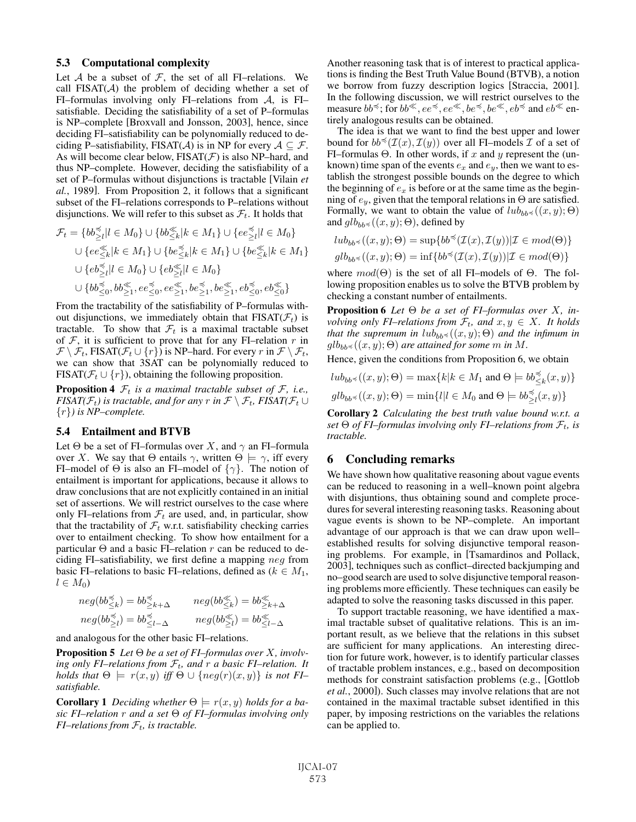#### 5.3 Computational complexity

Let  $A$  be a subset of  $F$ , the set of all FI-relations. We call  $FISAT(\mathcal{A})$  the problem of deciding whether a set of FI–formulas involving only FI–relations from A, is FI– satisfiable. Deciding the satisfiability of a set of P–formulas is NP–complete [Broxvall and Jonsson, 2003], hence, since deciding FI–satisfiability can be polynomially reduced to deciding P–satisfiability, FISAT( $\mathcal{A}$ ) is in NP for every  $\mathcal{A}\subset\mathcal{F}$ . As will become clear below,  $FISAT(\mathcal{F})$  is also NP–hard, and thus NP–complete. However, deciding the satisfiability of a set of P–formulas without disjunctions is tractable [Vilain *et al.*, 1989]. From Proposition 2, it follows that a significant subset of the FI–relations corresponds to P–relations without disjunctions. We will refer to this subset as  $\mathcal{F}_t$ . It holds that

$$
\mathcal{F}_t = \{bb_{\geq l}^{\preccurlyeq}| l \in M_0\} \cup \{bb_{\leq k}^{\preccurlyeq}| k \in M_1\} \cup \{ee_{\geq l}^{\preccurlyeq}| l \in M_0\}
$$
\n
$$
\cup \{ee_{\leq k}^{\preccurlyeq}| k \in M_1\} \cup \{be_{\leq k}^{\preccurlyeq}| k \in M_1\} \cup \{be_{\leq k}^{\preccurlyeq}| k \in M_1\}
$$
\n
$$
\cup \{eb_{\geq l}^{\preccurlyeq}| l \in M_0\} \cup \{eb_{\leq l}^{\preccurlyeq}| l \in M_0\}
$$
\n
$$
\cup \{bb_{\geq 0}^{\preccurlyeq}, be_{\leq 1}^{\preccurlyeq}, ee_{\leq 1}^{\preccurlyeq}, be_{\geq 1}^{\preccurlyeq}, be_{\leq 1}^{\preccurlyeq}, eb_{\leq 0}^{\preccurlyeq}, eb_{\leq 0}^{\preccurlyeq}\}
$$

From the tractability of the satisfiability of P–formulas without disjunctions, we immediately obtain that  $FISAT(\mathcal{F}_t)$  is tractable. To show that  $\mathcal{F}_t$  is a maximal tractable subset of  $F$ , it is sufficient to prove that for any FI-relation  $r$  in  $\mathcal{F}\setminus\mathcal{F}_t$ , FISAT( $\mathcal{F}_t\cup\{r\}$ ) is NP–hard. For every r in  $\mathcal{F}\setminus\mathcal{F}_t$ , we can show that 3SAT can be polynomially reduced to FISAT( $\mathcal{F}_t \cup \{r\}$ ), obtaining the following proposition.

**Proposition 4**  $\mathcal{F}_t$  *is a maximal tractable subset of*  $\mathcal{F}_t$  *i.e.*, *FISAT(* $\mathcal{F}_t$ *) is tractable, and for any r in*  $\mathcal{F}\setminus\mathcal{F}_t$ , *FISAT(* $\mathcal{F}_t \cup$ {r}*) is NP–complete.*

#### 5.4 Entailment and BTVB

Let  $\Theta$  be a set of FI–formulas over X, and  $\gamma$  an FI–formula over X. We say that  $\Theta$  entails  $\gamma$ , written  $\Theta \models \gamma$ , iff every FI–model of  $\Theta$  is also an FI–model of  $\{\gamma\}$ . The notion of entailment is important for applications, because it allows to draw conclusions that are not explicitly contained in an initial set of assertions. We will restrict ourselves to the case where only FI–relations from  $\mathcal{F}_t$  are used, and, in particular, show that the tractability of  $\mathcal{F}_t$  w.r.t. satisfiability checking carries over to entailment checking. To show how entailment for a particular  $\Theta$  and a basic FI–relation r can be reduced to deciding FI–satisfiability, we first define a mapping  $neg$  from basic FI–relations to basic FI–relations, defined as ( $k \in M_1$ ,  $l \in M_0$ 

$$
\begin{array}{ll} neg(bb_{\leq k}^{\preccurlyeq}) = bb_{\geq k+\Delta}^{\preccurlyeq} & neg(bb_{\leq k}^{\preccurlyeq}) = bb_{\geq k+\Delta}^{\preccurlyeq} \\ neg(bb_{\geq l}^{\preccurlyeq}) = bb_{\leq l-\Delta}^{\preccurlyeq} & neg(bb_{\geq l}^{\preccurlyeq}) = bb_{\leq l-\Delta}^{\preccurlyeq} \end{array}
$$

and analogous for the other basic FI–relations.

Proposition 5 *Let* Θ *be a set of FI–formulas over* X*, involving only FI–relations from* Ft*, and* r *a basic FI–relation. It holds that*  $\Theta \models r(x, y)$  *iff*  $\Theta \cup \{neg(r)(x, y)\}$  *is not FI– satisfiable.*

**Corollary 1** *Deciding whether*  $\Theta \models r(x, y)$  *holds for a basic FI–relation* r *and a set* Θ *of FI–formulas involving only FI–relations from*  $\mathcal{F}_t$ *, is tractable.* 

Another reasoning task that is of interest to practical applications is finding the Best Truth Value Bound (BTVB), a notion we borrow from fuzzy description logics [Straccia, 2001]. In the following discussion, we will restrict ourselves to the measure  $bb\lessgtr$ ; for  $bb\lessgtr$ ,  $ee \lessgtr$ ,  $ee \lessgtr$ ,  $be \lessgtr$ ,  $be \lessgtr$ ,  $eb \lessgtr$  and  $eb \lessgtr$  entirely analogous results can be obtained.

The idea is that we want to find the best upper and lower bound for  $bb \preceq (\mathcal{I}(x), \mathcal{I}(y))$  over all FI–models  $\mathcal I$  of a set of FI–formulas  $\Theta$ . In other words, if x and y represent the (unknown) time span of the events  $e_x$  and  $e_y$ , then we want to establish the strongest possible bounds on the degree to which the beginning of  $e_x$  is before or at the same time as the beginning of  $e_y$ , given that the temporal relations in  $\Theta$  are satisfied. Formally, we want to obtain the value of  $lub_{bb} \ll (x, y)$ ;  $\Theta$ ) and  $glb_{bb \preccurlyeq}( (x, y); \Theta)$ , defined by

$$
lub_{bb \preccurlyeq}((x, y); \Theta) = \sup \{ bb^{\preccurlyeq}(\mathcal{I}(x), \mathcal{I}(y)) | \mathcal{I} \in mod(\Theta) \}
$$
  

$$
glb_{bb \preccurlyeq}((x, y); \Theta) = \inf \{ bb^{\preccurlyeq}(\mathcal{I}(x), \mathcal{I}(y)) | \mathcal{I} \in mod(\Theta) \}
$$

where  $mod(\Theta)$  is the set of all FI–models of  $\Theta$ . The following proposition enables us to solve the BTVB problem by checking a constant number of entailments.

Proposition 6 *Let* Θ *be a set of FI–formulas over* X*, involving only FI–relations from*  $\mathcal{F}_t$ *, and*  $x, y \in X$ *. It holds that the supremum in*  $lub_{bb} \preccurlyeq ( (x, y); \Theta )$  *and the infimum in*  $glb_{bb} \preccurlyeq ((x, y); \Theta)$  *are attained for some m in M*.

Hence, given the conditions from Proposition 6, we obtain

$$
lub_{bb\preceq}((x,y);\Theta) = \max\{k|k \in M_1 \text{ and } \Theta \models bb_{\leq k}^{\preceq}(x,y)\}
$$

$$
glb_{bb\preceq}((x,y);\Theta) = \min\{l|l \in M_0 \text{ and } \Theta \models bb_{\geq l}^{\preceq}(x,y)\}
$$

Corollary 2 *Calculating the best truth value bound w.r.t. a set*  $\Theta$  *of FI–formulas involving only FI–relations from*  $\mathcal{F}_t$ *, is tractable.*

## 6 Concluding remarks

We have shown how qualitative reasoning about vague events can be reduced to reasoning in a well–known point algebra with disjuntions, thus obtaining sound and complete procedures for several interesting reasoning tasks. Reasoning about vague events is shown to be NP–complete. An important advantage of our approach is that we can draw upon well– established results for solving disjunctive temporal reasoning problems. For example, in [Tsamardinos and Pollack, 2003], techniques such as conflict–directed backjumping and no–good search are used to solve disjunctive temporal reasoning problems more efficiently. These techniques can easily be adapted to solve the reasoning tasks discussed in this paper.

To support tractable reasoning, we have identified a maximal tractable subset of qualitative relations. This is an important result, as we believe that the relations in this subset are sufficient for many applications. An interesting direction for future work, however, is to identify particular classes of tractable problem instances, e.g., based on decomposition methods for constraint satisfaction problems (e.g., [Gottlob *et al.*, 2000]). Such classes may involve relations that are not contained in the maximal tractable subset identified in this paper, by imposing restrictions on the variables the relations can be applied to.